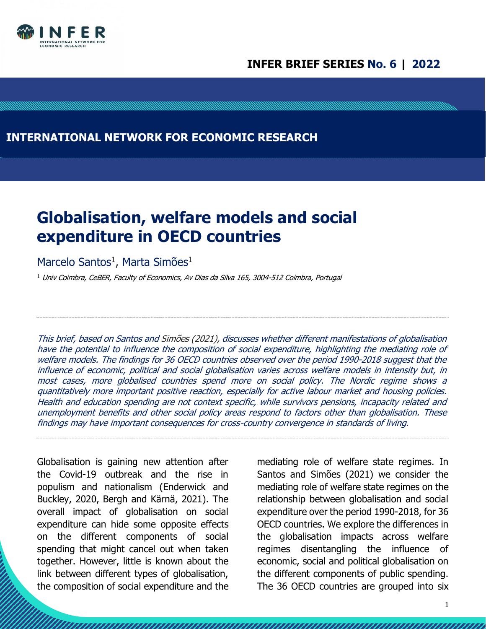

## **INFER BRIEF SERIES No. 6 | 2022**

## **INTERNATIONAL NETWORK FOR ECONOMIC RESEARCH**

# **Globalisation, welfare models and social expenditure in OECD countries**

### Marcelo Santos<sup>1</sup>, Marta Simões<sup>1</sup>

 $1$  Univ Coimbra, CeBER, Faculty of Economics, Av Dias da Silva 165, 3004-512 Coimbra, Portugal

This brief, based on Santos and Simões (2021), discusses whether different manifestations of globalisation have the potential to influence the composition of social expenditure, highlighting the mediating role of welfare models. The findings for 36 OECD countries observed over the period 1990-2018 suggest that the influence of economic, political and social globalisation varies across welfare models in intensity but, in most cases, more globalised countries spend more on social policy. The Nordic regime shows <sup>a</sup> quantitatively more important positive reaction, especially for active labour market and housing policies. Health and education spending are not context specific, while survivors pensions, incapacity related and unemployment benefits and other social policy areas respond to factors other than globalisation. These findings may have important consequences for cross-country convergence in standards of living.

Globalisation is gaining new attention after the Covid-19 outbreak and the rise in populism and nationalism (Enderwick and Buckley, 2020, Bergh and Kärnä, 2021). The overall impact of globalisation on social expenditure can hide some opposite effects on the different components of social spending that might cancel out when taken together. However, little is known about the link between different types of globalisation, the composition of social expenditure and the

mediating role of welfare state regimes. In Santos and Simões (2021) we consider the mediating role of welfare state regimes on the relationship between globalisation and social expenditure over the period 1990-2018, for 36 OECD countries. We explore the differences in the globalisation impacts across welfare regimes disentangling the influence of economic, social and political globalisation on the different components of public spending. The 36 OECD countries are grouped into six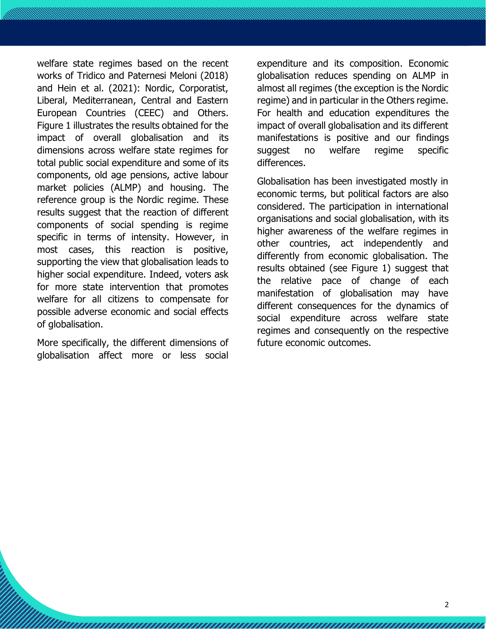welfare state regimes based on the recent works of Tridico and Paternesi Meloni (2018) and Hein et al. (2021): Nordic, Corporatist, Liberal, Mediterranean, Central and Eastern European Countries (CEEC) and Others. Figure 1 illustrates the results obtained for the impact of overall globalisation and its dimensions across welfare state regimes for total public social expenditure and some of its components, old age pensions, active labour market policies (ALMP) and housing. The reference group is the Nordic regime. These results suggest that the reaction of different components of social spending is regime specific in terms of intensity. However, in most cases, this reaction is positive, supporting the view that globalisation leads to higher social expenditure. Indeed, voters ask for more state intervention that promotes welfare for all citizens to compensate for possible adverse economic and social effects of globalisation.

More specifically, the different dimensions of globalisation affect more or less social

expenditure and its composition. Economic globalisation reduces spending on ALMP in almost all regimes (the exception is the Nordic regime) and in particular in the Others regime. For health and education expenditures the impact of overall globalisation and its different manifestations is positive and our findings suggest no welfare regime specific differences.

Globalisation has been investigated mostly in economic terms, but political factors are also considered. The participation in international organisations and social globalisation, with its higher awareness of the welfare regimes in other countries, act independently and differently from economic globalisation. The results obtained (see Figure 1) suggest that the relative pace of change of each manifestation of globalisation may have different consequences for the dynamics of social expenditure across welfare state regimes and consequently on the respective future economic outcomes.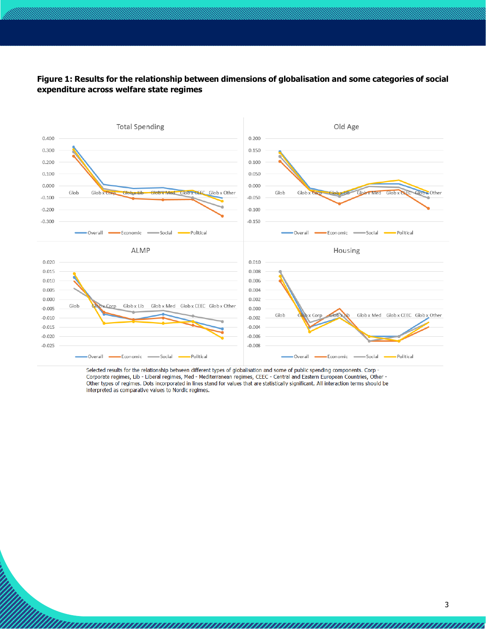### **Figure 1: Results for the relationship between dimensions of globalisation and some categories of social expenditure across welfare state regimes**



Selected results for the relationship between different types of globalisation and some of public spending components. Corp -<br>Corporate regimes, Lib - Liberal regimes, Med - Mediterranean regimes, CEEC - Central and Easter Other types of regimes. Dots incorporated in lines stand for values that are statistically significant. All interaction terms should be interpreted as comparative values to Nordic regimes.